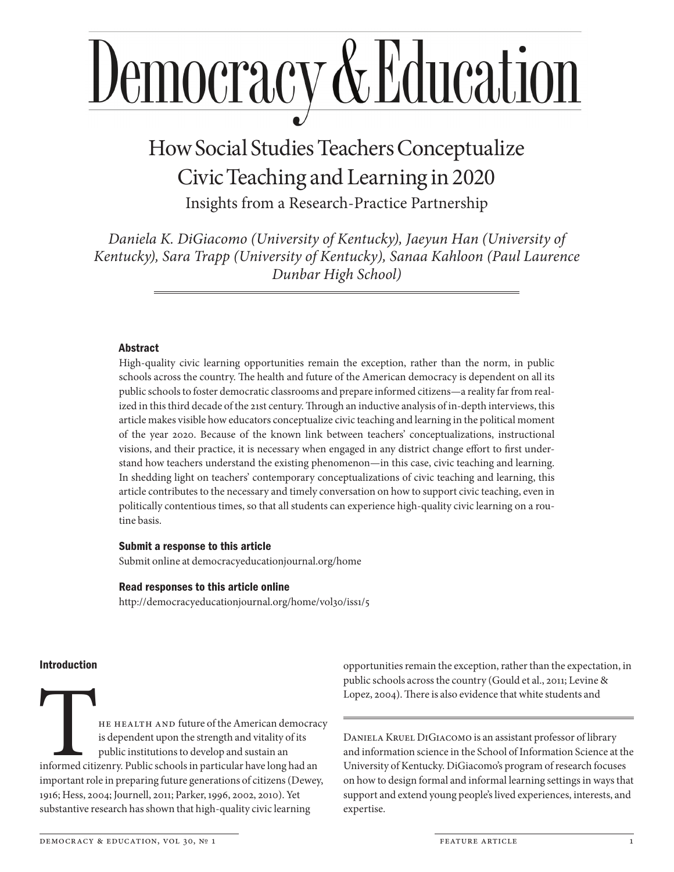# Democracy & Education

# How Social Studies Teachers Conceptualize Civic Teaching and Learning in 2020

Insights from a Research- Practice Partnership

*Daniela K. DiGiacomo (University of Kentucky), Jaeyun Han (University of Kentucky), Sara Trapp (University of Kentucky), Sanaa Kahloon (Paul Laurence Dunbar High School)*

#### Abstract

High-quality civic learning opportunities remain the exception, rather than the norm, in public schools across the country. The health and future of the American democracy is dependent on all its public schools to foster democratic classrooms and prepare informed citizens—a reality far from realized in this third decade of the 21st century. Through an inductive analysis of in-depth interviews, this article makes visible how educators conceptualize civic teaching and learning in the political moment of the year 2020. Because of the known link between teachers' conceptualizations, instructional visions, and their practice, it is necessary when engaged in any district change effort to first understand how teachers understand the existing phenomenon—in this case, civic teaching and learning. In shedding light on teachers' contemporary conceptualizations of civic teaching and learning, this article contributes to the necessary and timely conversation on how to support civic teaching, even in politically contentious times, so that all students can experience high-quality civic learning on a routine basis.

#### Submit a response to this article

Submit online at democracyeducationjournal.org/home

#### Read responses to this article online

http://democracyeducationjournal.org/home/vol30/iss1/5

#### Introduction

THE HEALTH AND future of the American democracy<br>is dependent upon the strength and vitality of its<br>public institutions to develop and sustain an<br>informed citizenry. Public schools in particular have long had an<br>important r is dependent upon the strength and vitality of its public institutions to develop and sustain an informed citizenry. Public schools in particular have long had an important role in preparing future generations of citizens (Dewey, 1916; Hess, 2004; Journell, 2011; Parker, 1996, 2002, 2010). Yet substantive research has shown that high-quality civic learning

opportunities remain the exception, rather than the expectation, in public schools across the country (Gould et al., 2011; Levine & Lopez, 2004). There is also evidence that white students and

Daniela Kruel DiGiacomo is an assistant professor of library and information science in the School of Information Science at the University of Kentucky. DiGiacomo's program of research focuses on how to design formal and informal learning settings in ways that support and extend young people's lived experiences, interests, and expertise.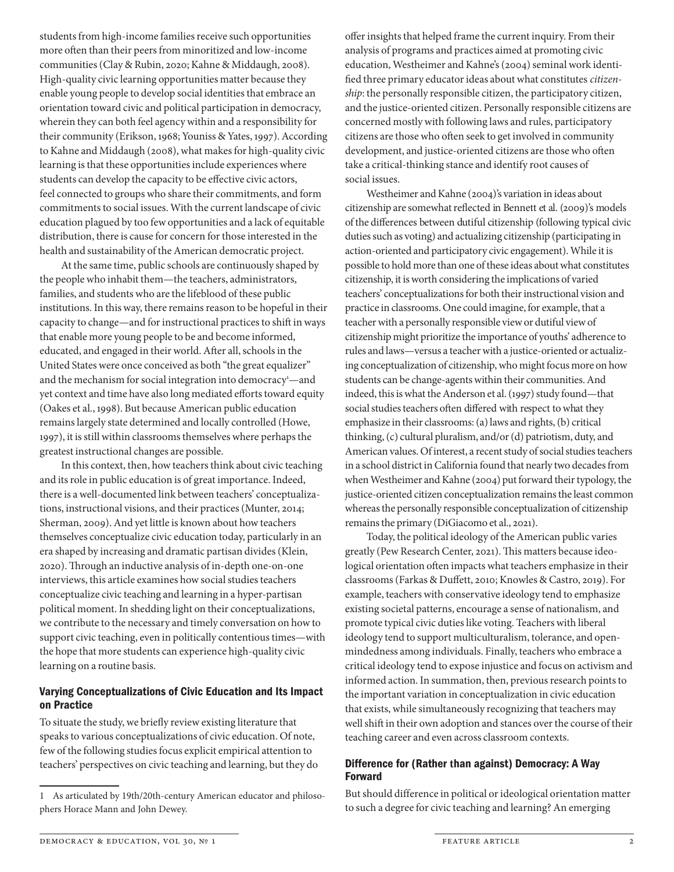students from high-income families receive such opportunities more often than their peers from minoritized and low-income communities (Clay & Rubin, 2020; Kahne & Middaugh, 2008). High-quality civic learning opportunities matter because they enable young people to develop social identities that embrace an orientation toward civic and political participation in democracy, wherein they can both feel agency within and a responsibility for their community (Erikson, 1968; Youniss & Yates, 1997). According to Kahne and Middaugh (2008), what makes for high-quality civic learning is that these opportunities include experiences where students can develop the capacity to be effective civic actors, feel connected to groups who share their commitments, and form commitments to social issues. With the current landscape of civic education plagued by too few opportunities and a lack of equitable distribution, there is cause for concern for those interested in the health and sustainability of the American democratic project.

At the same time, public schools are continuously shaped by the people who inhabit them—the teachers, administrators, families, and students who are the lifeblood of these public institutions. In this way, there remains reason to be hopeful in their capacity to change—and for instructional practices to shift in ways that enable more young people to be and become informed, educated, and engaged in their world. After all, schools in the United States were once conceived as both "the great equalizer" and the mechanism for social integration into democracy<sup>1</sup>-and yet context and time have also long mediated efforts toward equity (Oakes et al., 1998). But because American public education remains largely state determined and locally controlled (Howe, 1997), it is still within classrooms themselves where perhaps the greatest instructional changes are possible.

In this context, then, how teachers think about civic teaching and its role in public education is of great importance. Indeed, there is a well-documented link between teachers' conceptualizations, instructional visions, and their practices (Munter, 2014; Sherman, 2009). And yet little is known about how teachers themselves conceptualize civic education today, particularly in an era shaped by increasing and dramatic partisan divides (Klein, 2020). Through an inductive analysis of in-depth one-on-one interviews, this article examines how social studies teachers conceptualize civic teaching and learning in a hyper-partisan political moment. In shedding light on their conceptualizations, we contribute to the necessary and timely conversation on how to support civic teaching, even in politically contentious times—with the hope that more students can experience high-quality civic learning on a routine basis.

#### Varying Conceptualizations of Civic Education and Its Impact on Practice

To situate the study, we briefly review existing literature that speaks to various conceptualizations of civic education. Of note, few of the following studies focus explicit empirical attention to teachers' perspectives on civic teaching and learning, but they do

offer insights that helped frame the current inquiry. From their analysis of programs and practices aimed at promoting civic education, Westheimer and Kahne's (2004) seminal work identified three primary educator ideas about what constitutes *citizenship*: the personally responsible citizen, the participatory citizen, and the justice- oriented citizen. Personally responsible citizens are concerned mostly with following laws and rules, participatory citizens are those who often seek to get involved in community development, and justice- oriented citizens are those who often take a critical- thinking stance and identify root causes of social issues.

Westheimer and Kahne (2004)'s variation in ideas about citizenship are somewhat reflected in Bennett et al. (2009)'s models of the differences between dutiful citizenship (following typical civic duties such as voting) and actualizing citizenship (participating in action-oriented and participatory civic engagement). While it is possible to hold more than one of these ideas about what constitutes citizenship, it is worth considering the implications of varied teachers' conceptualizations for both their instructional vision and practice in classrooms. One could imagine, for example, that a teacher with a personally responsible view or dutiful view of citizenship might prioritize the importance of youths' adherence to rules and laws—versus a teacher with a justice-oriented or actualizing conceptualization of citizenship, who might focus more on how students can be change-agents within their communities. And indeed, this is what the Anderson et al. (1997) study found—that social studies teachers often differed with respect to what they emphasize in their classrooms: (a) laws and rights, (b) critical thinking, (c) cultural pluralism, and/or (d) patriotism, duty, and American values. Of interest, a recent study of social studies teachers in a school district in California found that nearly two decades from when Westheimer and Kahne (2004) put forward their typology, the justice-oriented citizen conceptualization remains the least common whereas the personally responsible conceptualization of citizenship remains the primary (DiGiacomo et al., 2021).

Today, the political ideology of the American public varies greatly (Pew Research Center, 2021). This matters because ideological orientation often impacts what teachers emphasize in their classrooms (Farkas & Duffett, 2010; Knowles & Castro, 2019). For example, teachers with conservative ideology tend to emphasize existing societal patterns, encourage a sense of nationalism, and promote typical civic duties like voting. Teachers with liberal ideology tend to support multiculturalism, tolerance, and openmindedness among individuals. Finally, teachers who embrace a critical ideology tend to expose injustice and focus on activism and informed action. In summation, then, previous research points to the important variation in conceptualization in civic education that exists, while simultaneously recognizing that teachers may well shift in their own adoption and stances over the course of their teaching career and even across classroom contexts.

### Difference for (Rather **t**han against) Democracy: A Way Forward

But should difference in political or ideological orientation matter to such a degree for civic teaching and learning? An emerging

<sup>1</sup> As articulated by 19th/20th-century American educator and philosophers Horace Mann and John Dewey.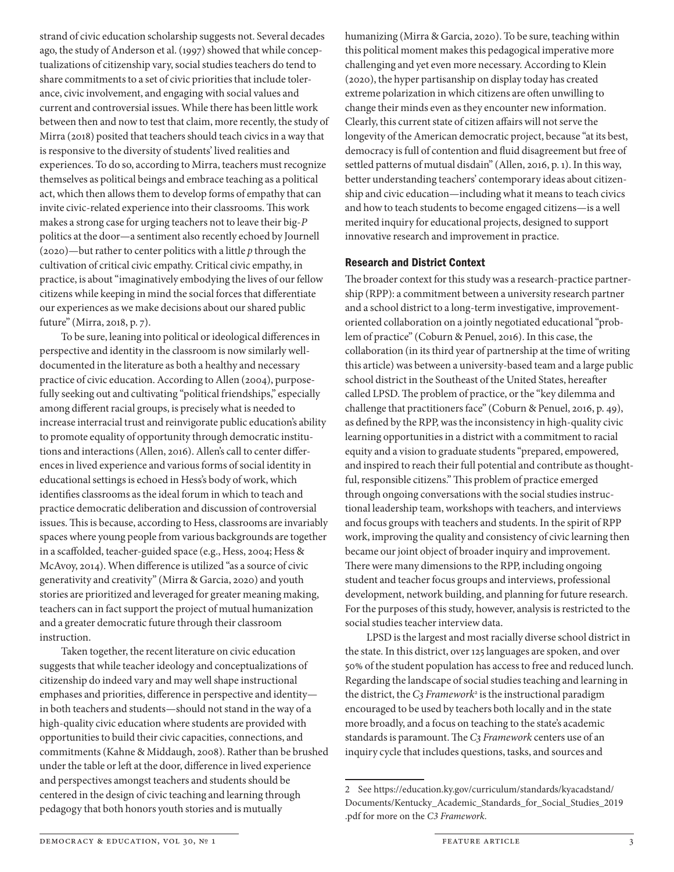strand of civic education scholarship suggests not. Several decades ago, the study of Anderson et al. (1997) showed that while conceptualizations of citizenship vary, social studies teachers do tend to share commitments to a set of civic priorities that include tolerance, civic involvement, and engaging with social values and current and controversial issues. While there has been little work between then and now to test that claim, more recently, the study of Mirra (2018) posited that teachers should teach civics in a way that is responsive to the diversity of students' lived realities and experiences. To do so, according to Mirra, teachers must recognize themselves as political beings and embrace teaching as a political act, which then allows them to develop forms of empathy that can invite civic-related experience into their classrooms. This work makes a strong case for urging teachers not to leave their big-*P* politics at the door—a sentiment also recently echoed by Journell (2020)—but rather to center politics with a little *p* through the cultivation of critical civic empathy. Critical civic empathy, in practice, is about "imaginatively embodying the lives of our fellow citizens while keeping in mind the social forces that differentiate our experiences as we make decisions about our shared public future" (Mirra, 2018, p. 7).

To be sure, leaning into political or ideological differences in perspective and identity in the classroom is now similarly welldocumented in the literature as both a healthy and necessary practice of civic education. According to Allen (2004), purposefully seeking out and cultivating "political friendships," especially among different racial groups, is precisely what is needed to increase interracial trust and reinvigorate public education's ability to promote equality of opportunity through democratic institutions and interactions (Allen, 2016). Allen's call to center differences in lived experience and various forms of social identity in educational settings is echoed in Hess's body of work, which identifies classrooms as the ideal forum in which to teach and practice democratic deliberation and discussion of controversial issues. This is because, according to Hess, classrooms are invariably spaces where young people from various backgrounds are together in a scaffolded, teacher-guided space (e.g., Hess, 2004; Hess & McAvoy, 2014). When difference is utilized "as a source of civic generativity and creativity" (Mirra & Garcia, 2020) and youth stories are prioritized and leveraged for greater meaning making, teachers can in fact support the project of mutual humanization and a greater democratic future through their classroom instruction.

Taken together, the recent literature on civic education suggests that while teacher ideology and conceptualizations of citizenship do indeed vary and may well shape instructional emphases and priorities, difference in perspective and identity in both teachers and students—should not stand in the way of a high-quality civic education where students are provided with opportunities to build their civic capacities, connections, and commitments (Kahne & Middaugh, 2008). Rather than be brushed under the table or left at the door, difference in lived experience and perspectives amongst teachers and students should be centered in the design of civic teaching and learning through pedagogy that both honors youth stories and is mutually

humanizing (Mirra & Garcia, 2020). To be sure, teaching within this political moment makes this pedagogical imperative more challenging and yet even more necessary. According to Klein (2020), the hyper partisanship on display today has created extreme polarization in which citizens are often unwilling to change their minds even as they encounter new information. Clearly, this current state of citizen affairs will not serve the longevity of the American democratic project, because "at its best, democracy is full of contention and fluid disagreement but free of settled patterns of mutual disdain" (Allen, 2016, p. 1). In this way, better understanding teachers' contemporary ideas about citizenship and civic education—including what it means to teach civics and how to teach students to become engaged citizens—is a well merited inquiry for educational projects, designed to support innovative research and improvement in practice.

#### Research and District Context

The broader context for this study was a research-practice partnership (RPP): a commitment between a university research partner and a school district to a long-term investigative, improvementoriented collaboration on a jointly negotiated educational "problem of practice" (Coburn & Penuel, 2016). In this case, the collaboration (in its third year of partnership at the time of writing this article) was between a university-based team and a large public school district in the Southeast of the United States, hereafter called LPSD. The problem of practice, or the "key dilemma and challenge that practitioners face" (Coburn & Penuel, 2016, p. 49), as defined by the RPP, was the inconsistency in high-quality civic learning opportunities in a district with a commitment to racial equity and a vision to graduate students "prepared, empowered, and inspired to reach their full potential and contribute as thoughtful, responsible citizens." This problem of practice emerged through ongoing conversations with the social studies instructional leadership team, workshops with teachers, and interviews and focus groups with teachers and students. In the spirit of RPP work, improving the quality and consistency of civic learning then became our joint object of broader inquiry and improvement. There were many dimensions to the RPP, including ongoing student and teacher focus groups and interviews, professional development, network building, and planning for future research. For the purposes of this study, however, analysis is restricted to the social studies teacher interview data.

LPSD is the largest and most racially diverse school district in the state. In this district, over 125 languages are spoken, and over 50% of the student population has access to free and reduced lunch. Regarding the landscape of social studies teaching and learning in the district, the *C<sub>3</sub>* Framework<sup>2</sup> is the instructional paradigm encouraged to be used by teachers both locally and in the state more broadly, and a focus on teaching to the state's academic standards is paramount. The *C3 Framework* centers use of an inquiry cycle that includes questions, tasks, and sources and

<sup>2</sup> See https://education.ky.gov/curriculum/standards/kyacadstand/ Documents/Kentucky\_Academic\_Standards\_for\_Social\_Studies\_2019 .pdf for more on the *C3 Framework*.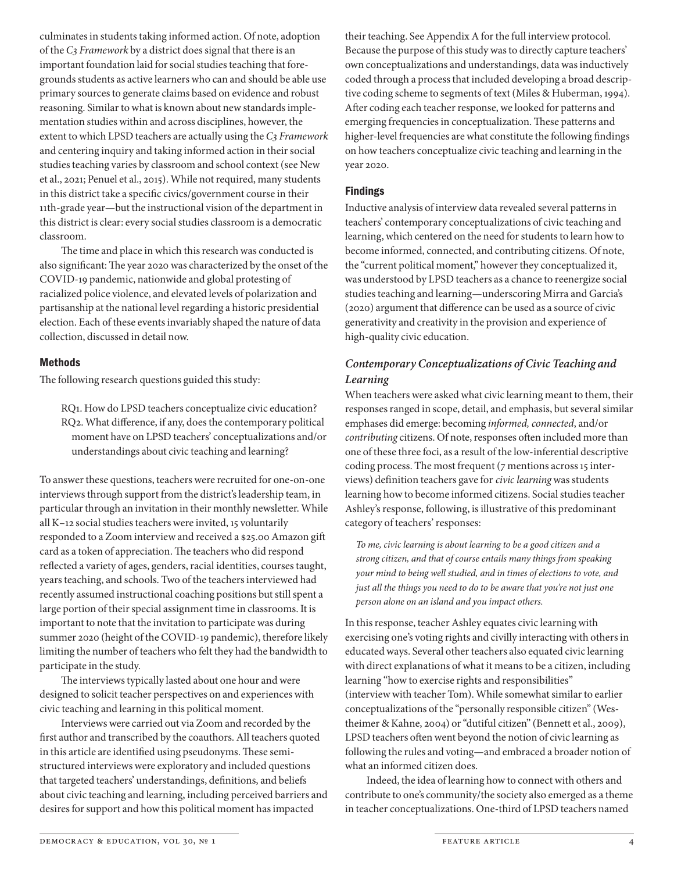culminates in students taking informed action. Of note, adoption of the *C3 Framework* by a district does signal that there is an important foundation laid for social studies teaching that foregrounds students as active learners who can and should be able use primary sources to generate claims based on evidence and robust reasoning. Similar to what is known about new standards implementation studies within and across disciplines, however, the extent to which LPSD teachers are actually using the *C3 Framework* and centering inquiry and taking informed action in their social studies teaching varies by classroom and school context (see New et al., 2021; Penuel et al., 2015). While not required, many students in this district take a specific civics/government course in their 11th-grade year—but the instructional vision of the department in this district is clear: every social studies classroom is a democratic classroom.

The time and place in which this research was conducted is also significant: The year 2020 was characterized by the onset of the COVID-19 pandemic, nationwide and global protesting of racialized police violence, and elevated levels of polarization and partisanship at the national level regarding a historic presidential election. Each of these events invariably shaped the nature of data collection, discussed in detail now.

#### Methods

The following research questions guided this study:

RQ1. How do LPSD teachers conceptualize civic education? RQ2. What difference, if any, does the contemporary political moment have on LPSD teachers' conceptualizations and/or understandings about civic teaching and learning?

To answer these questions, teachers were recruited for one-on-one interviews through support from the district's leadership team, in particular through an invitation in their monthly newsletter. While all K–12 social studies teachers were invited, 15 voluntarily responded to a Zoom interview and received a \$25.00 Amazon gift card as a token of appreciation. The teachers who did respond reflected a variety of ages, genders, racial identities, courses taught, years teaching, and schools. Two of the teachers interviewed had recently assumed instructional coaching positions but still spent a large portion of their special assignment time in classrooms. It is important to note that the invitation to participate was during summer 2020 (height of the COVID-19 pandemic), therefore likely limiting the number of teachers who felt they had the bandwidth to participate in the study.

The interviews typically lasted about one hour and were designed to solicit teacher perspectives on and experiences with civic teaching and learning in this political moment.

Interviews were carried out via Zoom and recorded by the first author and transcribed by the coauthors. All teachers quoted in this article are identified using pseudonyms. These semistructured interviews were exploratory and included questions that targeted teachers' understandings, definitions, and beliefs about civic teaching and learning, including perceived barriers and desires for support and how this political moment has impacted

their teaching. See Appendix A for the full interview protocol. Because the purpose of this study was to directly capture teachers' own conceptualizations and understandings, data was inductively coded through a process that included developing a broad descriptive coding scheme to segments of text (Miles & Huberman, 1994). After coding each teacher response, we looked for patterns and emerging frequencies in conceptualization. These patterns and higher- level frequencies are what constitute the following findings on how teachers conceptualize civic teaching and learning in the year 2020.

#### Findings

Inductive analysis of interview data revealed several patterns in teachers' contemporary conceptualizations of civic teaching and learning, which centered on the need for students to learn how to become informed, connected, and contributing citizens. Of note, the "current political moment," however they conceptualized it, was understood by LPSD teachers as a chance to reenergize social studies teaching and learning— underscoring Mirra and Garcia's (2020) argument that difference can be used as a source of civic generativity and creativity in the provision and experience of high- quality civic education.

# *Contemporary Conceptualizations of Civic Teaching and Learning*

When teachers were asked what civic learning meant to them, their responses ranged in scope, detail, and emphasis, but several similar emphases did emerge: becoming *informed, connected*, and/or *contributing* citizens. Of note, responses often included more than one of these three foci, as a result of the low- inferential descriptive coding process. The most frequent (7 mentions across 15 interviews) definition teachers gave for *civic learning* was students learning how to become informed citizens. Social studies teacher Ashley's response, following, is illustrative of this predominant category of teachers' responses:

*To me, civic learning is about learning to be a good citizen and a strong citizen, and that of course entails many things from speaking your mind to being well studied, and in times of elections to vote, and just all the things you need to do to be aware that you're not just one person alone on an island and you impact others.*

In this response, teacher Ashley equates civic learning with exercising one's voting rights and civilly interacting with others in educated ways. Several other teachers also equated civic learning with direct explanations of what it means to be a citizen, including learning "how to exercise rights and responsibilities" (interview with teacher Tom). While somewhat similar to earlier conceptualizations of the "personally responsible citizen" (Westheimer & Kahne, 2004) or "dutiful citizen" (Bennett et al., 2009), LPSD teachers often went beyond the notion of civic learning as following the rules and voting— and embraced a broader notion of what an informed citizen does.

Indeed, the idea of learning how to connect with others and contribute to one's community/the society also emerged as a theme in teacher conceptualizations. One- third of LPSD teachers named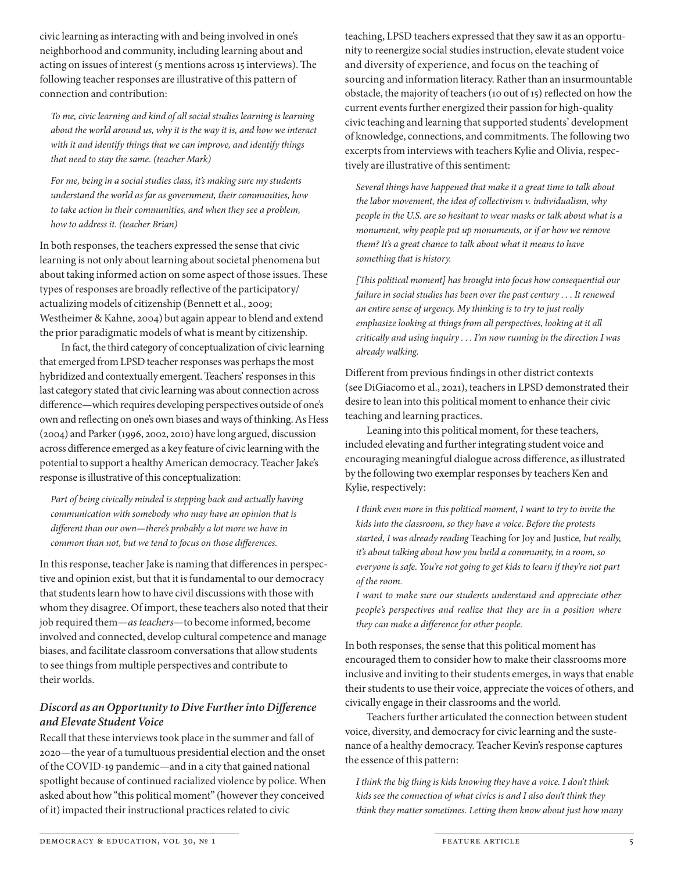civic learning as interacting with and being involved in one's neighborhood and community, including learning about and acting on issues of interest (5 mentions across 15 interviews). The following teacher responses are illustrative of this pattern of connection and contribution:

To me, civic learning and kind of all social studies learning is learning *about the world around us, why it is the way it is, and how we interact with it and identify things that we can improve, and identify things that need to stay the same. (teacher Mark)*

*For me, being in a social studies class, it's making sure my students understand the world as far as government, their communities, how to take action in their communities, and when they see a problem, how to address it. (teacher Brian)*

In both responses, the teachers expressed the sense that civic learning is not only about learning about societal phenomena but about taking informed action on some aspect of those issues. These types of responses are broadly reflective of the participatory/ actualizing models of citizenship (Bennett et al., 2009; Westheimer & Kahne, 2004) but again appear to blend and extend the prior paradigmatic models of what is meant by citizenship.

In fact, the third category of conceptualization of civic learning that emerged from LPSD teacher responses was perhaps the most hybridized and contextually emergent. Teachers' responses in this last category stated that civic learning was about connection across difference—which requires developing perspectives outside of one's own and reflecting on one's own biases and ways of thinking. As Hess (2004) and Parker (1996, 2002, 2010) have long argued, discussion across difference emerged as a key feature of civic learning with the potential to support a healthy American democracy. Teacher Jake's response is illustrative of this conceptualization:

*Part of being civically minded is stepping back and actually having communication with somebody who may have an opinion that is different than our own—there's probably a lot more we have in common than not, but we tend to focus on those differences.*

In this response, teacher Jake is naming that differences in perspective and opinion exist, but that it is fundamental to our democracy that students learn how to have civil discussions with those with whom they disagree. Of import, these teachers also noted that their job required them—*as teachers*—to become informed, become involved and connected, develop cultural competence and manage biases, and facilitate classroom conversations that allow students to see things from multiple perspectives and contribute to their worlds.

# *Discord as an Opportunity to Dive Further into Difference and Elevate Student Voice*

Recall that these interviews took place in the summer and fall of 2020—the year of a tumultuous presidential election and the onset of the COVID-19 pandemic—and in a city that gained national spotlight because of continued racialized violence by police. When asked about how "this political moment" (however they conceived of it) impacted their instructional practices related to civic

teaching, LPSD teachers expressed that they saw it as an opportunity to reenergize social studies instruction, elevate student voice and diversity of experience, and focus on the teaching of sourcing and information literacy. Rather than an insurmountable obstacle, the majority of teachers (10 out of 15) reflected on how the current events further energized their passion for high- quality civic teaching and learning that supported students' development of knowledge, connections, and commitments. The following two excerpts from interviews with teachers Kylie and Olivia, respectively are illustrative of this sentiment:

*Several things have happened that make it a great time to talk about the labor movement, the idea of collectivism v. individualism, why people in the U.S. are so hesitant to wear masks or talk about what is a monument, why people put up monuments, or if or how we remove them? It's a great chance to talk about what it means to have something that is history.*

*[This political moment] has brought into focus how consequential our failure in social studies has been over the past century . . . It renewed an entire sense of urgency. My thinking is to try to just really emphasize looking at things from all perspectives, looking at it all critically and using inquiry . . . I'm now running in the direction I was already walking.*

Different from previous findings in other district contexts (see DiGiacomo et al., 2021), teachers in LPSD demonstrated their desire to lean into this political moment to enhance their civic teaching and learning practices.

Leaning into this political moment, for these teachers, included elevating and further integrating student voice and encouraging meaningful dialogue across difference, as illustrated by the following two exemplar responses by teachers Ken and Kylie, respectively:

*I think even more in this political moment, I want to try to invite the kids into the classroom, so they have a voice. Before the protests started, I was already reading* Teaching for Joy and Justice*, but really, it's about talking about how you build a community, in a room, so everyone is safe. You're not going to get kids to learn if they're not part of the room.*

*I want to make sure our students understand and appreciate other people's perspectives and realize that they are in a position where they can make a difference for other people.*

In both responses, the sense that this political moment has encouraged them to consider how to make their classrooms more inclusive and inviting to their students emerges, in ways that enable their students to use their voice, appreciate the voices of others, and civically engage in their classrooms and the world.

Teachers further articulated the connection between student voice, diversity, and democracy for civic learning and the sustenance of a healthy democracy. Teacher Kevin's response captures the essence of this pattern:

*I think the big thing is kids knowing they have a voice. I don't think kids see the connection of what civics is and I also don't think they think they matter sometimes. Letting them know about just how many*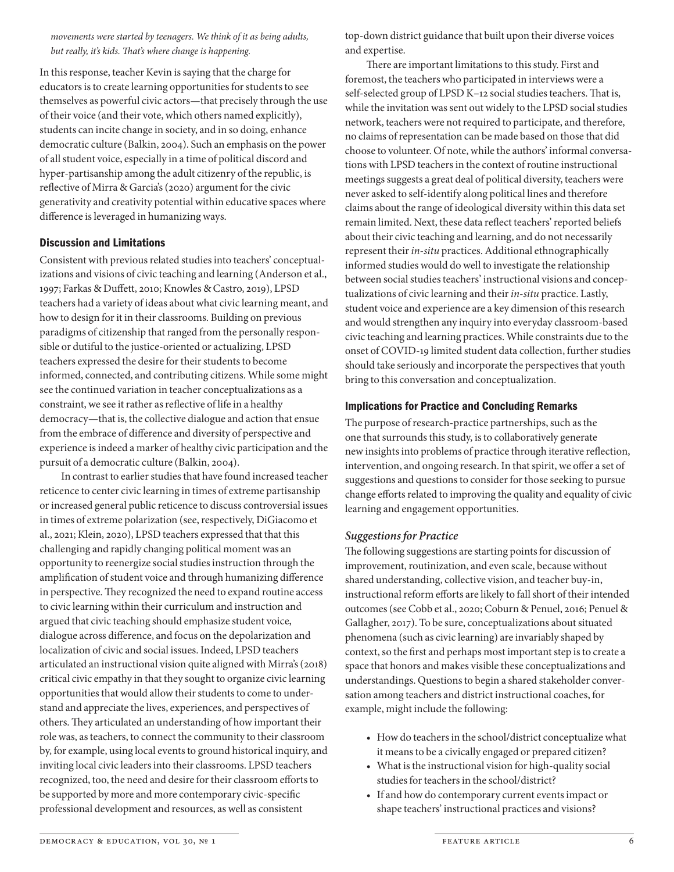*movements were started by teenagers. We think of it as being adults, but really, it's kids. That's where change is happening.*

In this response, teacher Kevin is saying that the charge for educators is to create learning opportunities for students to see themselves as powerful civic actors—that precisely through the use of their voice (and their vote, which others named explicitly), students can incite change in society, and in so doing, enhance democratic culture (Balkin, 2004). Such an emphasis on the power of all student voice, especially in a time of political discord and hyper-partisanship among the adult citizenry of the republic, is reflective of Mirra & Garcia's (2020) argument for the civic generativity and creativity potential within educative spaces where difference is leveraged in humanizing ways.

#### Discussion and Limitations

Consistent with previous related studies into teachers' conceptualizations and visions of civic teaching and learning (Anderson et al., 1997; Farkas & Duffett, 2010; Knowles & Castro, 2019), LPSD teachers had a variety of ideas about what civic learning meant, and how to design for it in their classrooms. Building on previous paradigms of citizenship that ranged from the personally responsible or dutiful to the justice-oriented or actualizing, LPSD teachers expressed the desire for their students to become informed, connected, and contributing citizens. While some might see the continued variation in teacher conceptualizations as a constraint, we see it rather as reflective of life in a healthy democracy—that is, the collective dialogue and action that ensue from the embrace of difference and diversity of perspective and experience is indeed a marker of healthy civic participation and the pursuit of a democratic culture (Balkin, 2004).

In contrast to earlier studies that have found increased teacher reticence to center civic learning in times of extreme partisanship or increased general public reticence to discuss controversial issues in times of extreme polarization (see, respectively, DiGiacomo et al., 2021; Klein, 2020), LPSD teachers expressed that that this challenging and rapidly changing political moment was an opportunity to reenergize social studies instruction through the amplification of student voice and through humanizing difference in perspective. They recognized the need to expand routine access to civic learning within their curriculum and instruction and argued that civic teaching should emphasize student voice, dialogue across difference, and focus on the depolarization and localization of civic and social issues. Indeed, LPSD teachers articulated an instructional vision quite aligned with Mirra's (2018) critical civic empathy in that they sought to organize civic learning opportunities that would allow their students to come to understand and appreciate the lives, experiences, and perspectives of others. They articulated an understanding of how important their role was, as teachers, to connect the community to their classroom by, for example, using local events to ground historical inquiry, and inviting local civic leaders into their classrooms. LPSD teachers recognized, too, the need and desire for their classroom efforts to be supported by more and more contemporary civic-specific professional development and resources, as well as consistent

top- down district guidance that built upon their diverse voices and expertise.

There are important limitations to this study. First and foremost, the teachers who participated in interviews were a self-selected group of LPSD K-12 social studies teachers. That is, while the invitation was sent out widely to the LPSD social studies network, teachers were not required to participate, and therefore, no claims of representation can be made based on those that did choose to volunteer. Of note, while the authors' informal conversations with LPSD teachers in the context of routine instructional meetings suggests a great deal of political diversity, teachers were never asked to self- identify along political lines and therefore claims about the range of ideological diversity within this data set remain limited. Next, these data reflect teachers' reported beliefs about their civic teaching and learning, and do not necessarily represent their *in-situ* practices. Additional ethnographically informed studies would do well to investigate the relationship between social studies teachers' instructional visions and conceptualizations of civic learning and their *in- situ* practice. Lastly, student voice and experience are a key dimension of this research and would strengthen any inquiry into everyday classroom- based civic teaching and learning practices. While constraints due to the onset of COVID- 19 limited student data collection, further studies should take seriously and incorporate the perspectives that youth bring to this conversation and conceptualization.

#### Implications for Practice and Concluding Remarks

The purpose of research-practice partnerships, such as the one that surrounds this study, is to collaboratively generate new insights into problems of practice through iterative reflection, intervention, and ongoing research. In that spirit, we offer a set of suggestions and questions to consider for those seeking to pursue change efforts related to improving the quality and equality of civic learning and engagement opportunities.

# *Suggestions for Practice*

The following suggestions are starting points for discussion of improvement, routinization, and even scale, because without shared understanding, collective vision, and teacher buy-in, instructional reform efforts are likely to fall short of their intended outcomes (see Cobb et al., 2020; Coburn & Penuel, 2016; Penuel & Gallagher, 2017). To be sure, conceptualizations about situated phenomena (such as civic learning) are invariably shaped by context, so the first and perhaps most important step is to create a space that honors and makes visible these conceptualizations and understandings. Questions to begin a shared stakeholder conversation among teachers and district instructional coaches, for example, might include the following:

- How do teachers in the school/district conceptualize what it means to be a civically engaged or prepared citizen?
- What is the instructional vision for high-quality social studies for teachers in the school/district?
- If and how do contemporary current events impact or shape teachers' instructional practices and visions?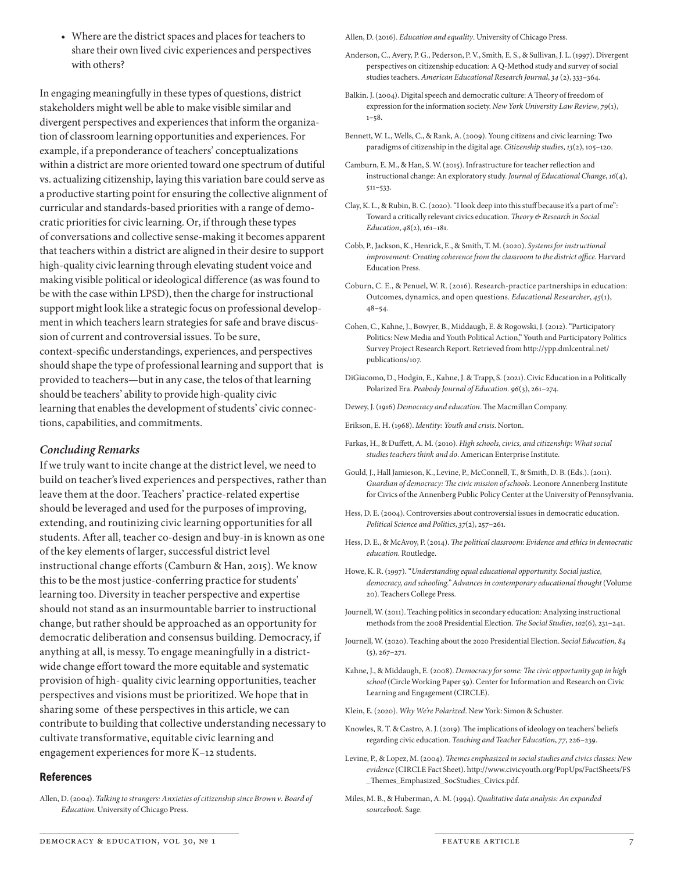• Where are the district spaces and places for teachers to share their own lived civic experiences and perspectives with others?

In engaging meaningfully in these types of questions, district stakeholders might well be able to make visible similar and divergent perspectives and experiences that inform the organization of classroom learning opportunities and experiences. For example, if a preponderance of teachers' conceptualizations within a district are more oriented toward one spectrum of dutiful vs. actualizing citizenship, laying this variation bare could serve as a productive starting point for ensuring the collective alignment of curricular and standards- based priorities with a range of democratic priorities for civic learning. Or, if through these types of conversations and collective sense- making it becomes apparent that teachers within a district are aligned in their desire to support high- quality civic learning through elevating student voice and making visible political or ideological difference (as was found to be with the case within LPSD), then the charge for instructional support might look like a strategic focus on professional development in which teachers learn strategies for safe and brave discussion of current and controversial issues. To be sure, context- specific understandings, experiences, and perspectives should shape the type of professional learning and support that is provided to teachers— but in any case, the telos of that learning should be teachers' ability to provide high- quality civic learning that enables the development of students' civic connections, capabilities, and commitments.

#### *Concluding Remarks*

If we truly want to incite change at the district level, we need to build on teacher's lived experiences and perspectives, rather than leave them at the door. Teachers' practice-related expertise should be leveraged and used for the purposes of improving, extending, and routinizing civic learning opportunities for all students. After all, teacher co-design and buy-in is known as one of the key elements of larger, successful district level instructional change efforts (Camburn & Han, 2015). We know this to be the most justice-conferring practice for students' learning too. Diversity in teacher perspective and expertise should not stand as an insurmountable barrier to instructional change, but rather should be approached as an opportunity for democratic deliberation and consensus building. Democracy, if anything at all, is messy. To engage meaningfully in a districtwide change effort toward the more equitable and systematic provision of high- quality civic learning opportunities, teacher perspectives and visions must be prioritized. We hope that in sharing some of these perspectives in this article, we can contribute to building that collective understanding necessary to cultivate transformative, equitable civic learning and engagement experiences for more K–12 students.

#### References

Allen, D. (2004). *Talking to strangers: Anxieties of citizenship since Brown v. Board of Education*. University of Chicago Press.

Allen, D. (2016). *Education and equality*. University of Chicago Press.

- Anderson, C., Avery, P. G., Pederson, P. V., Smith, E. S., & Sullivan, J. L. (1997). Divergent perspectives on citizenship education: A Q-Method study and survey of social studies teachers. *American Educational Research Journal*, *34* (2), 333–364.
- Balkin. J. (2004). Digital speech and democratic culture: A Theory of freedom of expression for the information society. *New York University Law Review*, *79*(1),  $1 - 58$ .
- Bennett, W. L., Wells, C., & Rank, A. (2009). Young citizens and civic learning: Two paradigms of citizenship in the digital age. *Citizenship studies*, *13*(2), 105–120.
- Camburn, E. M., & Han, S. W. (2015). Infrastructure for teacher reflection and instructional change: An exploratory study. *Journal of Educational Change*, *16*(4), 511–533.
- Clay, K. L., & Rubin, B. C. (2020). "I look deep into this stuff because it's a part of me": Toward a critically relevant civics education. *Theory & Research in Social Education*, *48*(2), 161–181.
- Cobb, P., Jackson, K., Henrick, E., & Smith, T. M. (2020). *Systems for instructional improvement: Creating coherence from the classroom to the district office*. Harvard Education Press.
- Coburn, C. E., & Penuel, W. R. (2016). Research-practice partnerships in education: Outcomes, dynamics, and open questions. *Educational Researcher*, *45*(1), 48–54.
- Cohen, C., Kahne, J., Bowyer, B., Middaugh, E. & Rogowski, J. (2012). "Participatory Politics: New Media and Youth Political Action," Youth and Participatory Politics Survey Project Research Report. Retrieved from http://ypp.dmlcentral.net/ publications/107.
- DiGiacomo, D., Hodgin, E., Kahne, J. & Trapp, S. (2021). Civic Education in a Politically Polarized Era. *Peabody Journal of Education. 96*(3), 261–274.
- Dewey, J. (1916) *Democracy and education*. The Macmillan Company.
- Erikson, E. H. (1968). *Identity: Youth and crisis*. Norton.
- Farkas, H., & Duffett, A. M. (2010). *High schools, civics, and citizenship: What social studies teachers think and do*. American Enterprise Institute.
- Gould, J., Hall Jamieson, K., Levine, P., McConnell, T., & Smith, D. B. (Eds.). (2011). *Guardian of democracy: The civic mission of schools*. Leonore Annenberg Institute for Civics of the Annenberg Public Policy Center at the University of Pennsylvania.
- Hess, D. E. (2004). Controversies about controversial issues in democratic education. *Political Science and Politics*, *37*(2), 257–261.
- Hess, D. E., & McAvoy, P. (2014). *The political classroom: Evidence and ethics in democratic education*. Routledge.
- Howe, K. R. (1997). "*Understanding equal educational opportunity. Social justice, democracy, and schooling." Advances in contemporary educational thought* (Volume 20). Teachers College Press.
- Journell, W. (2011). Teaching politics in secondary education: Analyzing instructional methods from the 2008 Presidential Election. *The Social Studies*, *102*(6), 231–241.
- Journell, W. (2020). Teaching about the 2020 Presidential Election. *Social Education, 84* (5), 267–271.
- Kahne, J., & Middaugh, E. (2008). *Democracy for some: The civic opportunity gap in high school* (Circle Working Paper 59). Center for Information and Research on Civic Learning and Engagement (CIRCLE).
- Klein, E. (2020). *Why We're Polarized*. New York: Simon & Schuster.
- Knowles, R. T. & Castro, A. J. (2019). The implications of ideology on teachers' beliefs regarding civic education. *Teaching and Teacher Education*, *77*, 226–239.
- Levine, P., & Lopez, M. (2004). *Themes emphasized in social studies and civics classes: New evidence* (CIRCLE Fact Sheet). http://www.civicyouth.org/PopUps/FactSheets/FS \_Themes\_Emphasized\_SocStudies\_Civics.pdf.
- Miles, M. B., & Huberman, A. M. (1994). *Qualitative data analysis: An expanded sourcebook*. Sage.